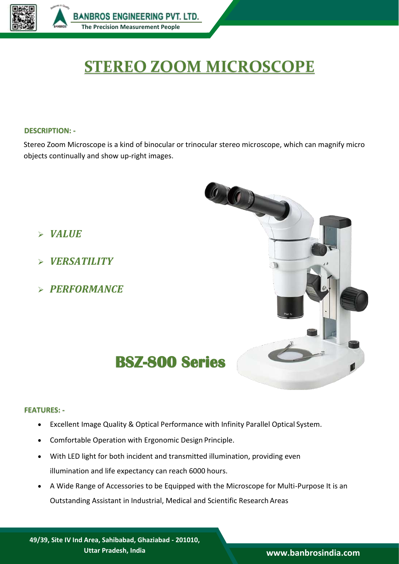

# **STEREO ZOOM MICROSCOPE**

## **DESCRIPTION: -**

Stereo Zoom Microscope is a kind of binocular or trinocular stereo microscope, which can magnify micro objects continually and show up-right images.

- *VALUE*
- *VERSATILITY*
- *PERFORMANCE*



### **FEATURES: -**

- Excellent Image Quality & Optical Performance with Infinity Parallel Optical System.
- Comfortable Operation with Ergonomic Design Principle.
- With LED light for both incident and transmitted illumination, providing even illumination and life expectancy can reach 6000 hours.
- A Wide Range of Accessories to be Equipped with the Microscope for Multi-Purpose It is an Outstanding Assistant in Industrial, Medical and Scientific Research Areas